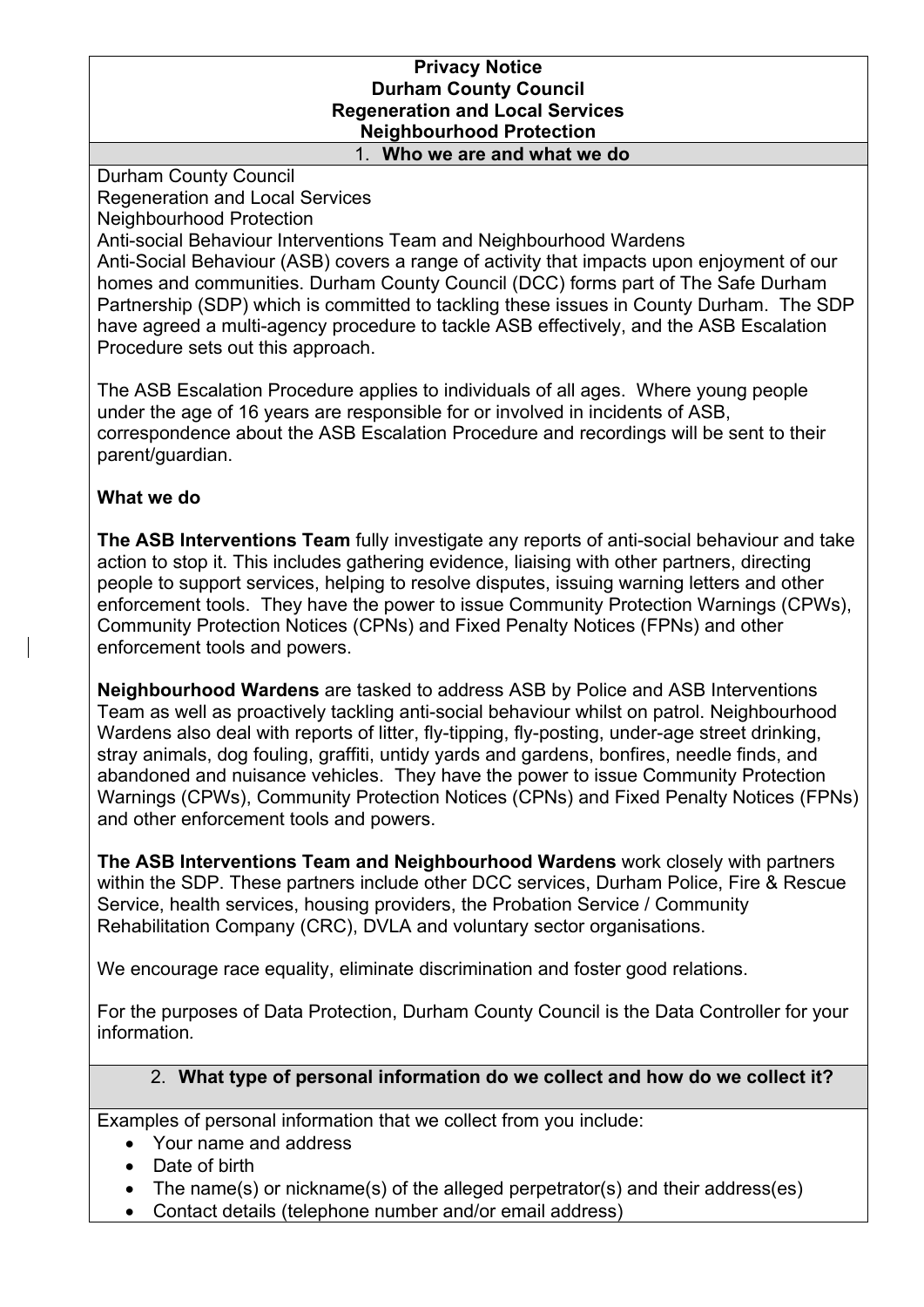#### **Privacy Notice Durham County Council Regeneration and Local Services Neighbourhood Protection** 1. **Who we are and what we do**

Durham County Council Regeneration and Local Services Neighbourhood Protection

Anti-social Behaviour Interventions Team and Neighbourhood Wardens Anti-Social Behaviour (ASB) covers a range of activity that impacts upon enjoyment of our homes and communities. Durham County Council (DCC) forms part of The Safe Durham Partnership (SDP) which is committed to tackling these issues in County Durham. The SDP have agreed a multi-agency procedure to tackle ASB effectively, and the ASB Escalation Procedure sets out this approach.

The ASB Escalation Procedure applies to individuals of all ages. Where young people under the age of 16 years are responsible for or involved in incidents of ASB, correspondence about the ASB Escalation Procedure and recordings will be sent to their parent/guardian.

## **What we do**

**The ASB Interventions Team** fully investigate any reports of anti-social behaviour and take action to stop it. This includes gathering evidence, liaising with other partners, directing people to support services, helping to resolve disputes, issuing warning letters and other enforcement tools. They have the power to issue Community Protection Warnings (CPWs), Community Protection Notices (CPNs) and Fixed Penalty Notices (FPNs) and other enforcement tools and powers.

**Neighbourhood Wardens** are tasked to address ASB by Police and ASB Interventions Team as well as proactively tackling anti-social behaviour whilst on patrol. Neighbourhood Wardens also deal with reports of litter, fly-tipping, fly-posting, under-age street drinking, stray animals, dog fouling, graffiti, untidy yards and gardens, bonfires, needle finds, and abandoned and nuisance vehicles. They have the power to issue Community Protection Warnings (CPWs), Community Protection Notices (CPNs) and Fixed Penalty Notices (FPNs) and other enforcement tools and powers.

**The ASB Interventions Team and Neighbourhood Wardens** work closely with partners within the SDP. These partners include other DCC services, Durham Police, Fire & Rescue Service, health services, housing providers, the Probation Service / Community Rehabilitation Company (CRC), DVLA and voluntary sector organisations.

We encourage race equality, eliminate discrimination and foster good relations.

For the purposes of Data Protection, Durham County Council is the Data Controller for your information*.*

# 2. **What type of personal information do we collect and how do we collect it?**

Examples of personal information that we collect from you include:

- Your name and address
- Date of birth
- The name(s) or nickname(s) of the alleged perpetrator(s) and their address(es)
- Contact details (telephone number and/or email address)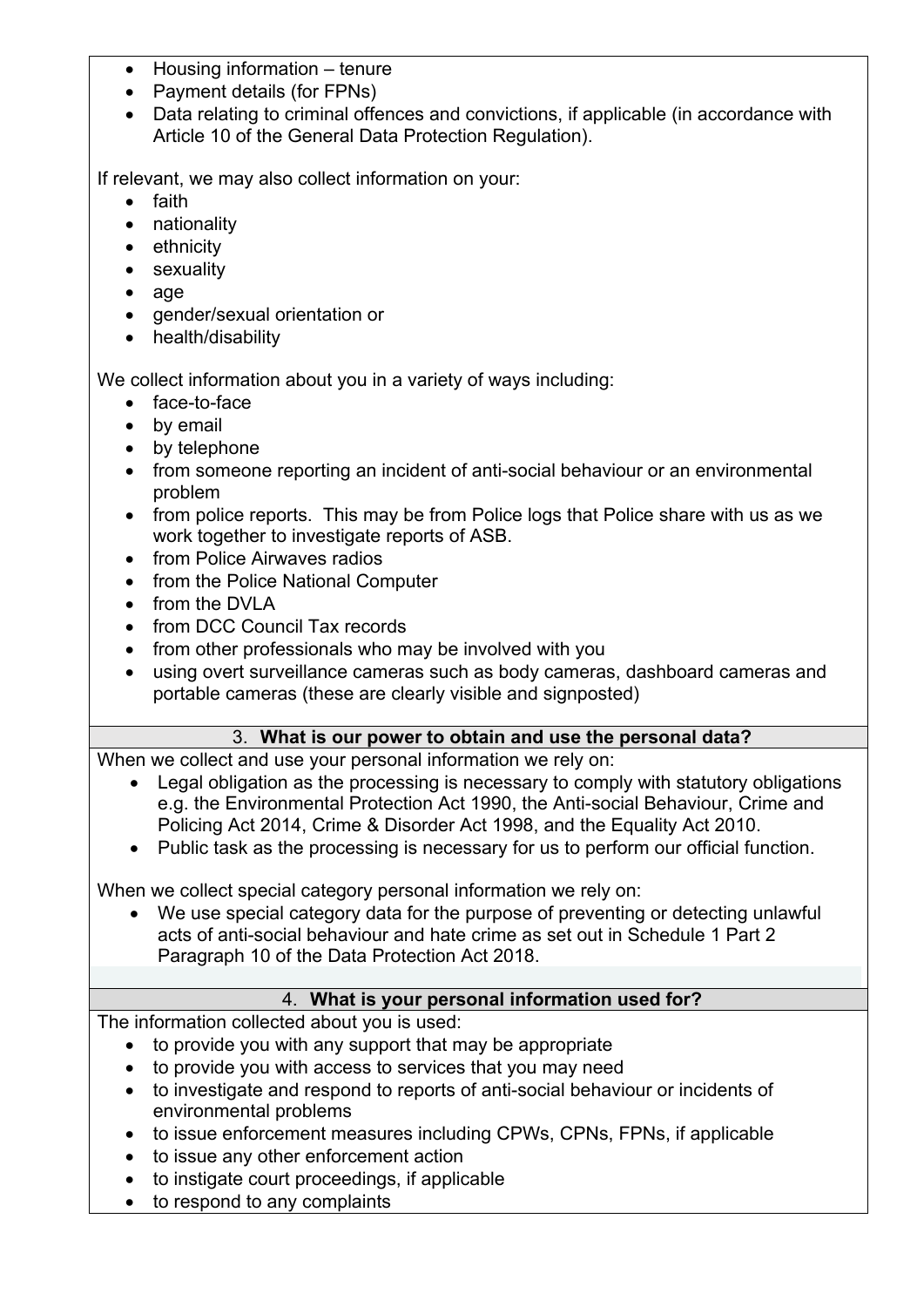- Housing information tenure
- Payment details (for FPNs)
- Data relating to criminal offences and convictions, if applicable (in accordance with Article 10 of the General Data Protection Regulation).

If relevant, we may also collect information on your:

- faith
- nationality
- ethnicity
- sexuality
- age
- gender/sexual orientation or
- health/disability

We collect information about you in a variety of ways including:

- face-to-face
- by email
- by telephone
- from someone reporting an incident of anti-social behaviour or an environmental problem
- from police reports. This may be from Police logs that Police share with us as we work together to investigate reports of ASB.
- from Police Airwaves radios
- from the Police National Computer
- from the DVLA
- from DCC Council Tax records
- from other professionals who may be involved with you
- using overt surveillance cameras such as body cameras, dashboard cameras and portable cameras (these are clearly visible and signposted)

## 3. **What is our power to obtain and use the personal data?**

When we collect and use your personal information we rely on:

- Legal obligation as the processing is necessary to comply with statutory obligations e.g. the Environmental Protection Act 1990, the Anti-social Behaviour, Crime and Policing Act 2014, Crime & Disorder Act 1998, and the Equality Act 2010.
- Public task as the processing is necessary for us to perform our official function.

When we collect special category personal information we rely on:

• We use special category data for the purpose of preventing or detecting unlawful acts of anti-social behaviour and hate crime as set out in Schedule 1 Part 2 Paragraph 10 of the Data Protection Act 2018.

## 4. **What is your personal information used for?**

The information collected about you is used:

- to provide you with any support that may be appropriate
- to provide you with access to services that you may need
- to investigate and respond to reports of anti-social behaviour or incidents of environmental problems
- to issue enforcement measures including CPWs, CPNs, FPNs, if applicable
- to issue any other enforcement action
- to instigate court proceedings, if applicable
- to respond to any complaints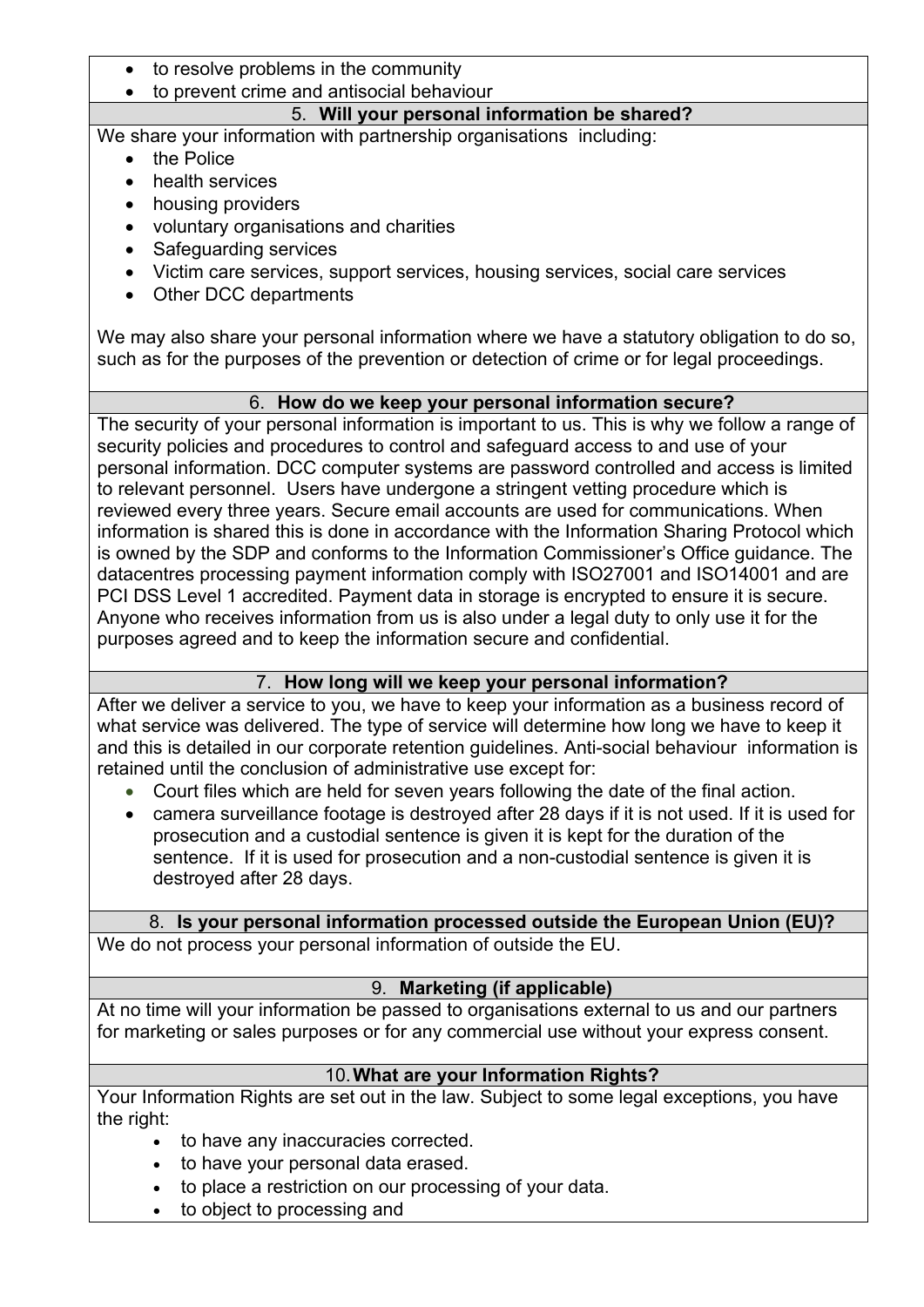- to resolve problems in the community
- to prevent crime and antisocial behaviour

## 5. **Will your personal information be shared?**

We share your information with partnership organisations including:

- the Police
- health services
- housing providers
- voluntary organisations and charities
- Safeguarding services
- Victim care services, support services, housing services, social care services
- Other DCC departments

We may also share your personal information where we have a statutory obligation to do so. such as for the purposes of the prevention or detection of crime or for legal proceedings.

## 6. **How do we keep your personal information secure?**

The security of your personal information is important to us. This is why we follow a range of security policies and procedures to control and safeguard access to and use of your personal information. DCC computer systems are password controlled and access is limited to relevant personnel. Users have undergone a stringent vetting procedure which is reviewed every three years. Secure email accounts are used for communications. When information is shared this is done in accordance with the Information Sharing Protocol which is owned by the SDP and conforms to the Information Commissioner's Office guidance. The datacentres processing payment information comply with ISO27001 and ISO14001 and are PCI DSS Level 1 accredited. Payment data in storage is encrypted to ensure it is secure. Anyone who receives information from us is also under a legal duty to only use it for the purposes agreed and to keep the information secure and confidential.

## 7. **How long will we keep your personal information?**

After we deliver a service to you, we have to keep your information as a business record of what service was delivered. The type of service will determine how long we have to keep it and this is detailed in our corporate retention guidelines. Anti-social behaviour information is retained until the conclusion of administrative use except for:

- Court files which are held for seven years following the date of the final action.
- camera surveillance footage is destroyed after 28 days if it is not used. If it is used for prosecution and a custodial sentence is given it is kept for the duration of the sentence. If it is used for prosecution and a non-custodial sentence is given it is destroyed after 28 days.

## 8. **Is your personal information processed outside the European Union (EU)?**

We do not process your personal information of outside the EU.

# 9. **Marketing (if applicable)**

At no time will your information be passed to organisations external to us and our partners for marketing or sales purposes or for any commercial use without your express consent.

## 10.**What are your Information Rights?**

Your Information Rights are set out in the law. Subject to some legal exceptions, you have the right:

- to have any inaccuracies corrected.
- to have your personal data erased.
- to place a restriction on our processing of your data.
- to object to processing and